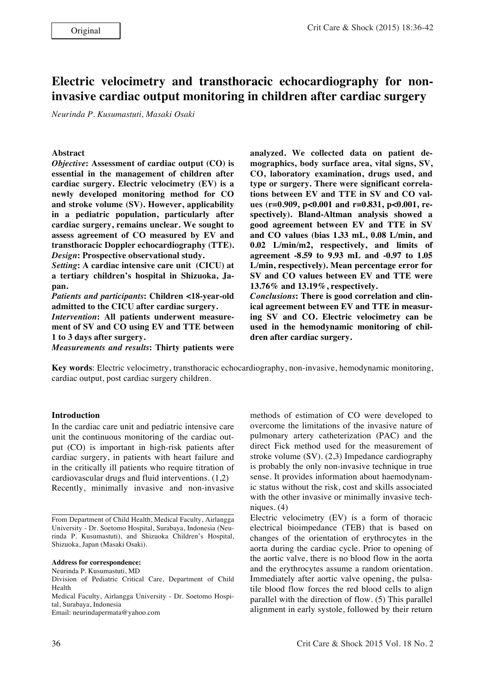# **Electric velocimetry and transthoracic echocardiography for noninvasive cardiac output monitoring in children after cardiac surgery**

*Neurinda P. Kusumastuti, Masaki Osaki*

#### **Abstract**

*Objective***: Assessment of cardiac output (CO) is essential in the management of children after cardiac surgery. Electric velocimetry (EV) is a newly developed monitoring method for CO and stroke volume (SV). However, applicability in a pediatric population, particularly after cardiac surgery, remains unclear. We sought to assess agreement of CO measured by EV and transthoracic Doppler echocardiography (TTE).**  *Design***: Prospective observational study.**

*Setting***: A cardiac intensive care unit (CICU) at a tertiary children's hospital in Shizuoka, Japan.**

*Patients and participants***: Children <18-year-old admitted to the CICU after cardiac surgery.**

*Intervention***: All patients underwent measurement of SV and CO using EV and TTE between 1 to 3 days after surgery.**

*Measurements and results***: Thirty patients were** 

**analyzed. We collected data on patient demographics, body surface area, vital signs, SV, CO, laboratory examination, drugs used, and type or surgery. There were significant correlations between EV and TTE in SV and CO values (r=0.909, p<0.001 and r=0.831, p<0.001, respectively). Bland-Altman analysis showed a good agreement between EV and TTE in SV and CO values (bias 1.33 mL, 0.08 L/min, and 0.02 L/min/m2, respectively, and limits of agreement -8.59 to 9.93 mL and -0.97 to 1.05 L/min, respectively). Mean percentage error for SV and CO values between EV and TTE were 13.76% and 13.19%, respectively.**

*Conclusions***: There is good correlation and clinical agreement between EV and TTE in measuring SV and CO. Electric velocimetry can be used in the hemodynamic monitoring of children after cardiac surgery.**

**Key words**: Electric velocimetry, transthoracic echocardiography, non-invasive, hemodynamic monitoring, cardiac output, post cardiac surgery children.

#### **Introduction** methods of estimation of CO were developed to

**.**

In the cardiac care unit and pediatric intensive care unit the continuous monitoring of the cardiac output (CO) is important in high-risk patients after cardiac surgery, in patients with heart failure and in the critically ill patients who require titration of cardiovascular drugs and fluid interventions. (1,2) Recently, minimally invasive and non-invasive

Neurinda P. Kusumastuti, MD

Email: neurindapermata@yahoo.com

overcome the limitations of the invasive nature of pulmonary artery catheterization (PAC) and the direct Fick method used for the measurement of stroke volume (SV). (2,3) Impedance cardiography is probably the only non-invasive technique in true sense. It provides information about haemodynamic status without the risk, cost and skills associated with the other invasive or minimally invasive techniques. (4) Electric velocimetry (EV) is a form of thoracic

electrical bioimpedance (TEB) that is based on changes of the orientation of erythrocytes in the aorta during the cardiac cycle. Prior to opening of the aortic valve, there is no blood flow in the aorta and the erythrocytes assume a random orientation. Immediately after aortic valve opening, the pulsatile blood flow forces the red blood cells to align parallel with the direction of flow. (5) This parallel alignment in early systole, followed by their return

From Department of Child Health, Medical Faculty, Airlangga University - Dr. Soetomo Hospital, Surabaya, Indonesia (Neurinda P. Kusumastuti), and Shizuoka Children's Hospital, Shizuoka, Japan (Masaki Osaki).

**Address for correspondence:**

Division of Pediatric Critical Care, Department of Child Health

Medical Faculty, Airlangga University - Dr. Soetomo Hospital, Surabaya, Indonesia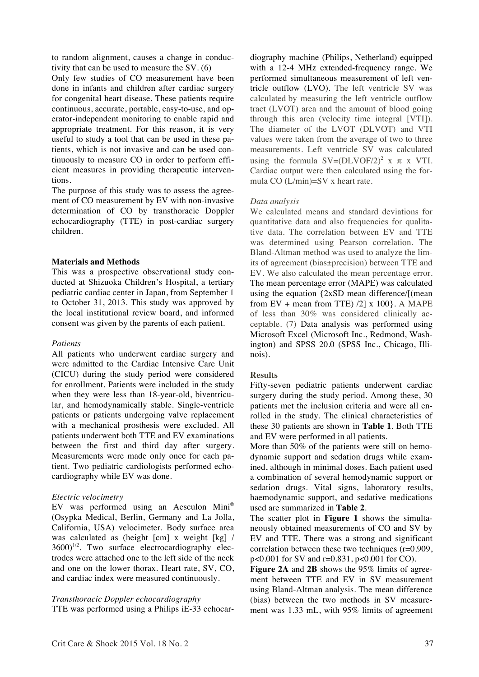to random alignment, causes a change in conductivity that can be used to measure the SV. (6)

Only few studies of CO measurement have been done in infants and children after cardiac surgery for congenital heart disease. These patients require continuous, accurate, portable, easy-to-use, and operator-independent monitoring to enable rapid and appropriate treatment. For this reason, it is very useful to study a tool that can be used in these patients, which is not invasive and can be used continuously to measure CO in order to perform efficient measures in providing therapeutic interventions.

The purpose of this study was to assess the agreement of CO measurement by EV with non-invasive determination of CO by transthoracic Doppler echocardiography (TTE) in post-cardiac surgery children.

#### **Materials and Methods**

This was a prospective observational study conducted at Shizuoka Children's Hospital, a tertiary pediatric cardiac center in Japan, from September 1 to October 31, 2013. This study was approved by the local institutional review board, and informed consent was given by the parents of each patient.

#### *Patients*

All patients who underwent cardiac surgery and were admitted to the Cardiac Intensive Care Unit (CICU) during the study period were considered for enrollment. Patients were included in the study when they were less than 18-year-old, biventricular, and hemodynamically stable. Single-ventricle patients or patients undergoing valve replacement with a mechanical prosthesis were excluded. All patients underwent both TTE and EV examinations between the first and third day after surgery. Measurements were made only once for each patient. Two pediatric cardiologists performed echocardiography while EV was done.

## *Electric velocimetry*

EV was performed using an Aesculon Mini® (Osypka Medical, Berlin, Germany and La Jolla, California, USA) velocimeter. Body surface area was calculated as (height [cm] x weight [kg] /  $3600$ <sup>1/2</sup>. Two surface electrocardiography electrodes were attached one to the left side of the neck and one on the lower thorax. Heart rate, SV, CO, and cardiac index were measured continuously.

## *Transthoracic Doppler echocardiography*

TTE was performed using a Philips iE-33 echocar-

diography machine (Philips, Netherland) equipped with a 12-4 MHz extended-frequency range. We performed simultaneous measurement of left ventricle outflow (LVO). The left ventricle SV was calculated by measuring the left ventricle outflow tract (LVOT) area and the amount of blood going through this area (velocity time integral [VTI]). The diameter of the LVOT (DLVOT) and VTI values were taken from the average of two to three measurements. Left ventricle SV was calculated using the formula  $SV=(DLVOF/2)^2$  x  $\pi$  x VTI. Cardiac output were then calculated using the formula CO (L/min)=SV x heart rate.

#### *Data analysis*

We calculated means and standard deviations for quantitative data and also frequencies for qualitative data. The correlation between EV and TTE was determined using Pearson correlation. The Bland-Altman method was used to analyze the limits of agreement (bias±precision) between TTE and EV. We also calculated the mean percentage error. The mean percentage error (MAPE) was calculated using the equation {2xSD mean difference/[(mean from  $EV$  + mean from TTE)  $/2$  x 100 }. A MAPE of less than 30% was considered clinically acceptable. (7) Data analysis was performed using Microsoft Excel (Microsoft Inc., Redmond, Washington) and SPSS 20.0 (SPSS Inc., Chicago, Illinois).

#### **Results**

Fifty-seven pediatric patients underwent cardiac surgery during the study period. Among these, 30 patients met the inclusion criteria and were all enrolled in the study. The clinical characteristics of these 30 patients are shown in **Table 1**. Both TTE and EV were performed in all patients.

More than 50% of the patients were still on hemodynamic support and sedation drugs while examined, although in minimal doses. Each patient used a combination of several hemodynamic support or sedation drugs. Vital signs, laboratory results, haemodynamic support, and sedative medications used are summarized in **Table 2**.

The scatter plot in **Figure 1** shows the simultaneously obtained measurements of CO and SV by EV and TTE. There was a strong and significant correlation between these two techniques (r=0.909, p<0.001 for SV and r=0.831, p<0.001 for CO).

**Figure 2A** and **2B** shows the 95% limits of agreement between TTE and EV in SV measurement using Bland-Altman analysis. The mean difference (bias) between the two methods in SV measurement was 1.33 mL, with 95% limits of agreement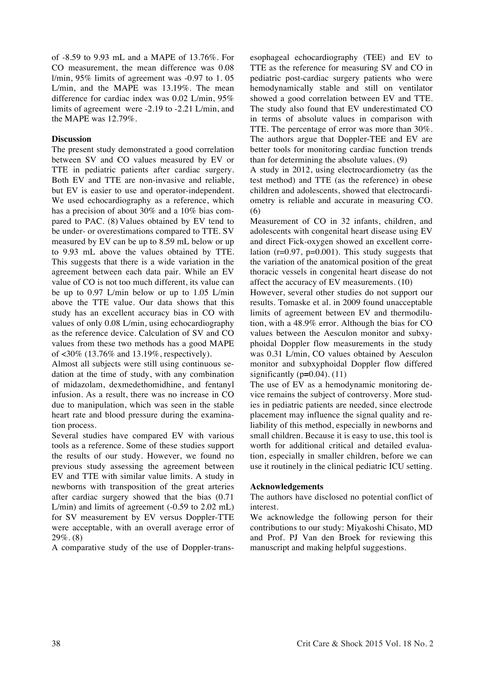of -8.59 to 9.93 mL and a MAPE of 13.76%. For CO measurement, the mean difference was 0.08 l/min, 95% limits of agreement was -0.97 to 1. 05 L/min, and the MAPE was 13.19%. The mean difference for cardiac index was 0.02 L/min, 95% limits of agreement were -2.19 to -2.21 L/min, and the MAPE was 12.79%.

# **Discussion**

The present study demonstrated a good correlation between SV and CO values measured by EV or TTE in pediatric patients after cardiac surgery. Both EV and TTE are non-invasive and reliable, but EV is easier to use and operator-independent. We used echocardiography as a reference, which has a precision of about 30% and a 10% bias compared to PAC. (8) Values obtained by EV tend to be under- or overestimations compared to TTE. SV measured by EV can be up to 8.59 mL below or up to 9.93 mL above the values obtained by TTE. This suggests that there is a wide variation in the agreement between each data pair. While an EV value of CO is not too much different, its value can be up to 0.97 L/min below or up to 1.05 L/min above the TTE value. Our data shows that this study has an excellent accuracy bias in CO with values of only 0.08 L/min, using echocardiography as the reference device. Calculation of SV and CO values from these two methods has a good MAPE of <30% (13.76% and 13.19%, respectively).

Almost all subjects were still using continuous sedation at the time of study, with any combination of midazolam, dexmedethomidhine, and fentanyl infusion. As a result, there was no increase in CO due to manipulation, which was seen in the stable heart rate and blood pressure during the examination process.

Several studies have compared EV with various tools as a reference. Some of these studies support the results of our study. However, we found no previous study assessing the agreement between EV and TTE with similar value limits. A study in newborns with transposition of the great arteries after cardiac surgery showed that the bias (0.71 L/min) and limits of agreement (-0.59 to 2.02 mL) for SV measurement by EV versus Doppler-TTE were acceptable, with an overall average error of 29%. (8)

A comparative study of the use of Doppler-trans-

esophageal echocardiography (TEE) and EV to TTE as the reference for measuring SV and CO in pediatric post-cardiac surgery patients who were hemodynamically stable and still on ventilator showed a good correlation between EV and TTE. The study also found that EV underestimated CO in terms of absolute values in comparison with TTE. The percentage of error was more than 30%. The authors argue that Doppler-TEE and EV are better tools for monitoring cardiac function trends than for determining the absolute values. (9)

A study in 2012, using electrocardiometry (as the test method) and TTE (as the reference) in obese children and adolescents, showed that electrocardiometry is reliable and accurate in measuring CO. (6)

Measurement of CO in 32 infants, children, and adolescents with congenital heart disease using EV and direct Fick-oxygen showed an excellent correlation  $(r=0.97, p=0.001)$ . This study suggests that the variation of the anatomical position of the great thoracic vessels in congenital heart disease do not affect the accuracy of EV measurements. (10)

However, several other studies do not support our results. Tomaske et al. in 2009 found unacceptable limits of agreement between EV and thermodilution, with a 48.9% error. Although the bias for CO values between the Aesculon monitor and subxyphoidal Doppler flow measurements in the study was 0.31 L/min, CO values obtained by Aesculon monitor and subxyphoidal Doppler flow differed significantly (p**=**0.04). (11)

The use of EV as a hemodynamic monitoring device remains the subject of controversy. More studies in pediatric patients are needed, since electrode placement may influence the signal quality and reliability of this method, especially in newborns and small children. Because it is easy to use, this tool is worth for additional critical and detailed evaluation, especially in smaller children, before we can use it routinely in the clinical pediatric ICU setting.

## **Acknowledgements**

The authors have disclosed no potential conflict of interest.

We acknowledge the following person for their contributions to our study: Miyakoshi Chisato, MD and Prof. PJ Van den Broek for reviewing this manuscript and making helpful suggestions.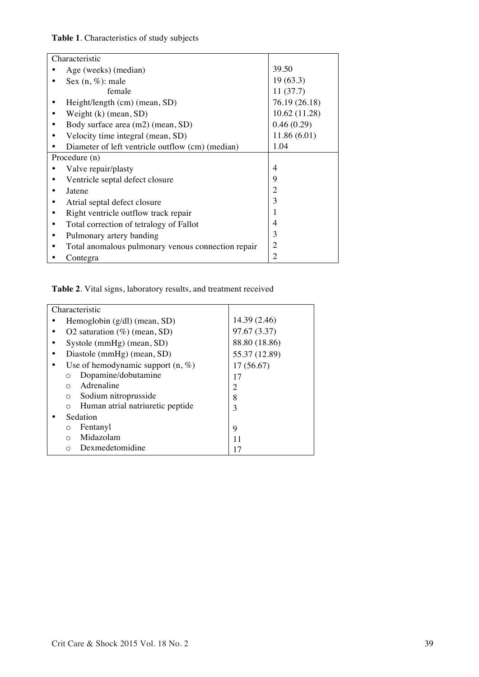# **Table 1**. Characteristics of study subjects

| Characteristic                                     |                |
|----------------------------------------------------|----------------|
| Age (weeks) (median)                               | 39.50          |
| Sex $(n, \%)$ : male                               | 19(63.3)       |
| female                                             | 11(37.7)       |
| Height/length (cm) (mean, SD)                      | 76.19 (26.18)  |
| Weight $(k)$ (mean, SD)                            | 10.62(11.28)   |
| Body surface area (m2) (mean, SD)                  | 0.46(0.29)     |
| Velocity time integral (mean, SD)                  | 11.86(6.01)    |
| Diameter of left ventricle outflow (cm) (median)   | 1.04           |
| Procedure (n)                                      |                |
| Valve repair/plasty                                | 4              |
| Ventricle septal defect closure                    | 9              |
| Jatene                                             | 2              |
| Atrial septal defect closure                       | 3              |
| Right ventricle outflow track repair               | 1              |
| Total correction of tetralogy of Fallot            | 4              |
| Pulmonary artery banding<br>٠                      | 3              |
| Total anomalous pulmonary venous connection repair | $\overline{2}$ |
| Contegra                                           | $\overline{2}$ |

# **Table 2**. Vital signs, laboratory results, and treatment received

| Characteristic                               |               |
|----------------------------------------------|---------------|
| Hemoglobin $(g/dl)$ (mean, SD)               | 14.39 (2.46)  |
| O2 saturation $(\%)$ (mean, SD)              | 97.67 (3.37)  |
| Systole (mmHg) (mean, SD)                    | 88.80 (18.86) |
| Diastole (mmHg) (mean, SD)                   | 55.37 (12.89) |
| Use of hemodynamic support $(n, \%)$         | 17(56.67)     |
| Dopamine/dobutamine                          | 17            |
| Adrenaline<br>$\bigcirc$                     | 2             |
| Sodium nitroprusside<br>$\Omega$             | 8             |
| Human atrial natriuretic peptide<br>$\Omega$ | 3             |
| Sedation                                     |               |
| Fentanyl<br>$\circ$                          | 9             |
| Midazolam<br>$\bigcirc$                      | 11            |
| Dexmedetomidine<br>∩                         | 17            |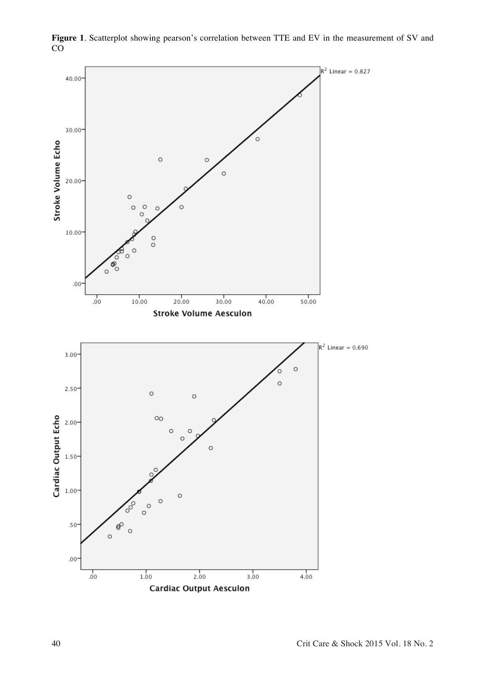

**Figure 1**. Scatterplot showing pearson's correlation between TTE and EV in the measurement of SV and CO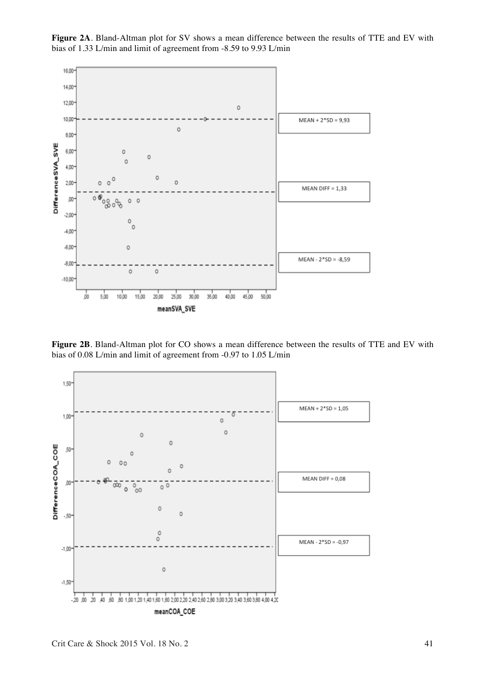

**Figure 2A**. Bland-Altman plot for SV shows a mean difference between the results of TTE and EV with bias of 1.33 L/min and limit of agreement from -8.59 to 9.93 L/min

**Figure 2B**. Bland-Altman plot for CO shows a mean difference between the results of TTE and EV with bias of 0.08 L/min and limit of agreement from -0.97 to 1.05 L/min